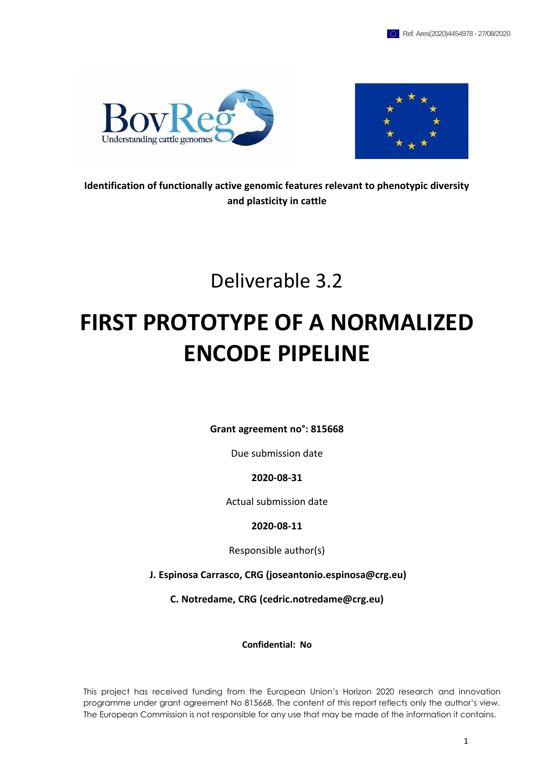



**Identification of functionally active genomic features relevant to phenotypic diversity and plasticity in cattle**

Deliverable 3.2

# **FIRST PROTOTYPE OF A NORMALIZED ENCODE PIPELINE**

**Grant agreement no°: 815668**

Due submission date

**2020-08-31**

Actual submission date

**2020-08-11**

Responsible author(s)

**J. Espinosa Carrasco, CRG (joseantonio.espinosa@crg.eu)**

**C. Notredame, CRG (cedric.notredame@crg.eu)**

**Confidential: No** 

This project has received funding from the European Union's Horizon 2020 research and innovation programme under grant agreement No 815668. The content of this report reflects only the author's view. The European Commission is not responsible for any use that may be made of the information it contains.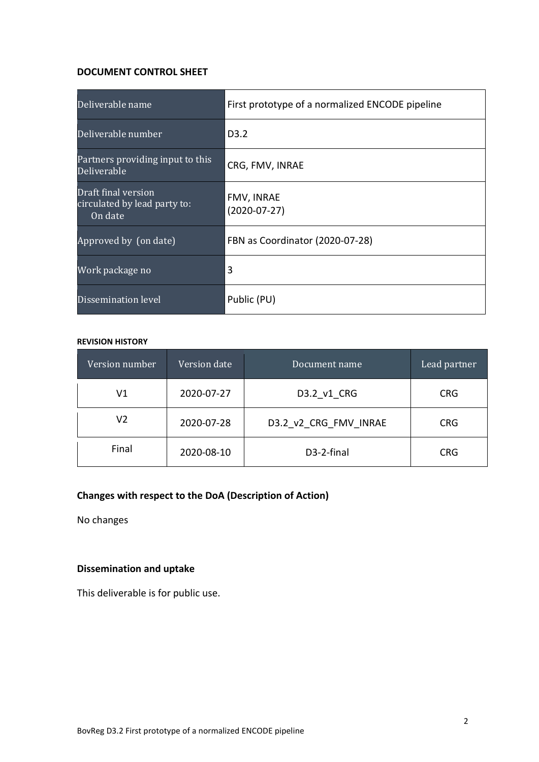#### **DOCUMENT CONTROL SHEET**

| Deliverable name                                               | First prototype of a normalized ENCODE pipeline |  |
|----------------------------------------------------------------|-------------------------------------------------|--|
| Deliverable number                                             | D3.2                                            |  |
| Partners providing input to this<br>Deliverable                | CRG, FMV, INRAE                                 |  |
| Draft final version<br>circulated by lead party to:<br>On date | FMV, INRAE<br>$(2020-07-27)$                    |  |
| Approved by (on date)                                          | FBN as Coordinator (2020-07-28)                 |  |
| Work package no                                                | 3                                               |  |
| Dissemination level                                            | Public (PU)                                     |  |

#### **REVISION HISTORY**

| Version number                    | Version date | Document name         | Lead partner |
|-----------------------------------|--------------|-----------------------|--------------|
| V1                                | 2020-07-27   | D3.2 v1 CRG           | <b>CRG</b>   |
| V2                                | 2020-07-28   | D3.2 v2 CRG FMV INRAE | <b>CRG</b>   |
| Final<br>D3-2-final<br>2020-08-10 |              | CRG                   |              |

# **Changes with respect to the DoA (Description of Action)**

No changes

# **Dissemination and uptake**

This deliverable is for public use.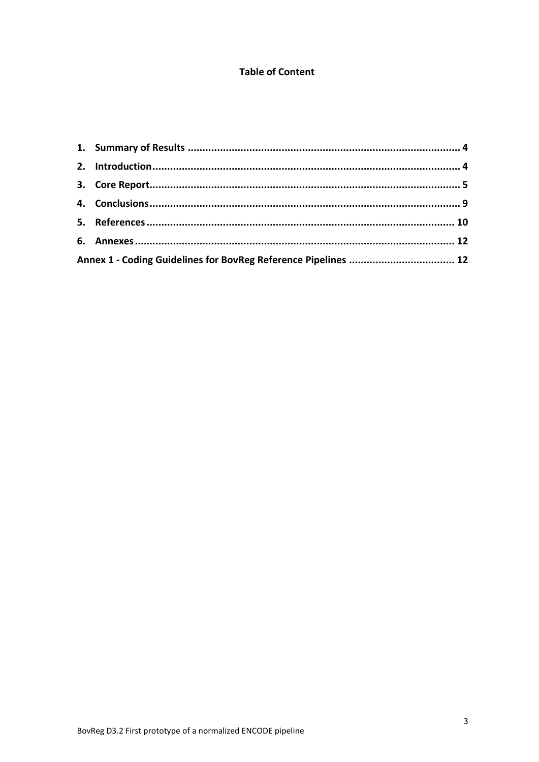# **Table of Content**

| Annex 1 - Coding Guidelines for BovReg Reference Pipelines  12 |  |
|----------------------------------------------------------------|--|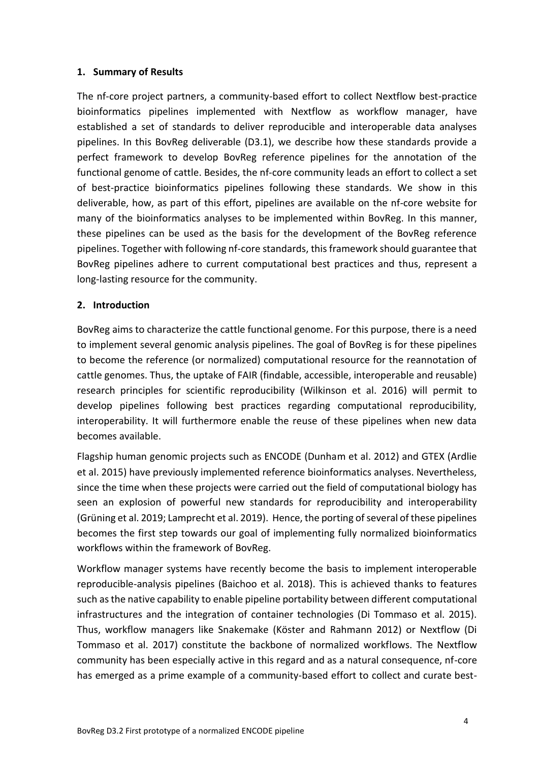# <span id="page-3-0"></span>**1. Summary of Results**

The nf-core project partners, a community-based effort to collect Nextflow best-practice bioinformatics pipelines implemented with Nextflow as workflow manager, have established a set of standards to deliver reproducible and interoperable data analyses pipelines. In this BovReg deliverable (D3.1), we describe how these standards provide a perfect framework to develop BovReg reference pipelines for the annotation of the functional genome of cattle. Besides, the nf-core community leads an effort to collect a set of best-practice bioinformatics pipelines following these standards. We show in this deliverable, how, as part of this effort, pipelines are available on the nf-core website for many of the bioinformatics analyses to be implemented within BovReg. In this manner, these pipelines can be used as the basis for the development of the BovReg reference pipelines. Together with following nf-core standards, this framework should guarantee that BovReg pipelines adhere to current computational best practices and thus, represent a long-lasting resource for the community.

# <span id="page-3-1"></span>**2. Introduction**

BovReg aims to characterize the cattle functional genome. For this purpose, there is a need to implement several genomic analysis pipelines. The goal of BovReg is for these pipelines to become the reference (or normalized) computational resource for the reannotation of cattle genomes. Thus, the uptake of FAIR (findable, accessible, interoperable and reusable) research principles for scientific reproducibility (Wilkinson et al. 2016) will permit to develop pipelines following best practices regarding computational reproducibility, interoperability. It will furthermore enable the reuse of these pipelines when new data becomes available.

Flagship human genomic projects such as ENCODE (Dunham et al. 2012) and GTEX (Ardlie et al. 2015) have previously implemented reference bioinformatics analyses. Nevertheless, since the time when these projects were carried out the field of computational biology has seen an explosion of powerful new standards for reproducibility and interoperability (Grüning et al. 2019; Lamprecht et al. 2019). Hence, the porting of several of these pipelines becomes the first step towards our goal of implementing fully normalized bioinformatics workflows within the framework of BovReg.

Workflow manager systems have recently become the basis to implement interoperable reproducible-analysis pipelines (Baichoo et al. 2018). This is achieved thanks to features such as the native capability to enable pipeline portability between different computational infrastructures and the integration of container technologies (Di Tommaso et al. 2015). Thus, workflow managers like Snakemake (Köster and Rahmann 2012) or Nextflow (Di Tommaso et al. 2017) constitute the backbone of normalized workflows. The Nextflow community has been especially active in this regard and as a natural consequence, nf-core has emerged as a prime example of a community-based effort to collect and curate best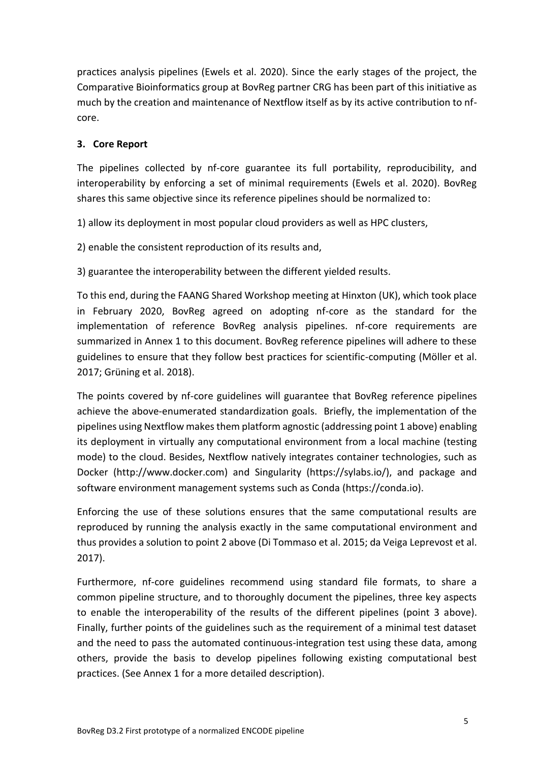practices analysis pipelines (Ewels et al. 2020). Since the early stages of the project, the Comparative Bioinformatics group at BovReg partner CRG has been part of this initiative as much by the creation and maintenance of Nextflow itself as by its active contribution to nfcore.

# <span id="page-4-0"></span>**3. Core Report**

The pipelines collected by nf-core guarantee its full portability, reproducibility, and interoperability by enforcing a set of minimal requirements (Ewels et al. 2020). BovReg shares this same objective since its reference pipelines should be normalized to:

1) allow its deployment in most popular cloud providers as well as HPC clusters,

2) enable the consistent reproduction of its results and,

3) guarantee the interoperability between the different yielded results.

To this end, during the FAANG Shared Workshop meeting at Hinxton (UK), which took place in February 2020, BovReg agreed on adopting nf-core as the standard for the implementation of reference BovReg analysis pipelines. nf-core requirements are summarized in Annex 1 to this document. BovReg reference pipelines will adhere to these guidelines to ensure that they follow best practices for scientific-computing (Möller et al. 2017; Grüning et al. 2018).

The points covered by nf-core guidelines will guarantee that BovReg reference pipelines achieve the above-enumerated standardization goals. Briefly, the implementation of the pipelines using Nextflow makes them platform agnostic (addressing point 1 above) enabling its deployment in virtually any computational environment from a local machine (testing mode) to the cloud. Besides, Nextflow natively integrates container technologies, such as Docker (http://www.docker.com) and Singularity (https://sylabs.io/), and package and software environment management systems such as Conda (https://conda.io).

Enforcing the use of these solutions ensures that the same computational results are reproduced by running the analysis exactly in the same computational environment and thus provides a solution to point 2 above (Di Tommaso et al. 2015; da Veiga Leprevost et al. 2017).

Furthermore, nf-core guidelines recommend using standard file formats, to share a common pipeline structure, and to thoroughly document the pipelines, three key aspects to enable the interoperability of the results of the different pipelines (point 3 above). Finally, further points of the guidelines such as the requirement of a minimal test dataset and the need to pass the automated continuous-integration test using these data, among others, provide the basis to develop pipelines following existing computational best practices. (See Annex 1 for a more detailed description).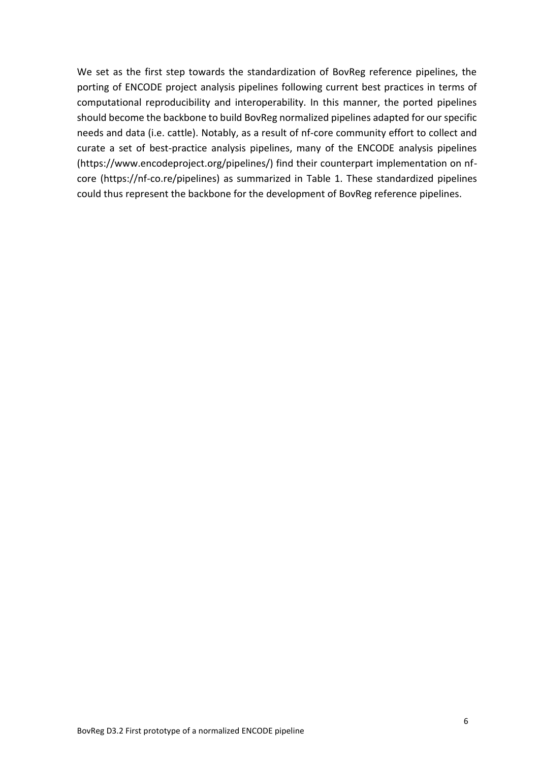We set as the first step towards the standardization of BovReg reference pipelines, the porting of ENCODE project analysis pipelines following current best practices in terms of computational reproducibility and interoperability. In this manner, the ported pipelines should become the backbone to build BovReg normalized pipelines adapted for our specific needs and data (i.e. cattle). Notably, as a result of nf-core community effort to collect and curate a set of best-practice analysis pipelines, many of the ENCODE analysis pipelines (https://www.encodeproject.org/pipelines/) find their counterpart implementation on nfcore (https://nf-co.re/pipelines) as summarized in Table 1. These standardized pipelines could thus represent the backbone for the development of BovReg reference pipelines.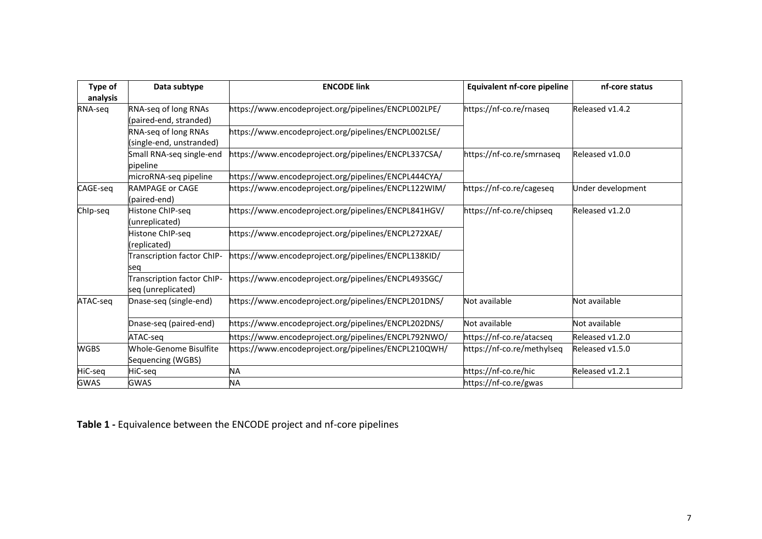| Type of<br>analysis | Data subtype                                                                                        | <b>ENCODE link</b>                                                              | <b>Equivalent nf-core pipeline</b> | nf-core status    |
|---------------------|-----------------------------------------------------------------------------------------------------|---------------------------------------------------------------------------------|------------------------------------|-------------------|
| RNA-seq             | RNA-seq of long RNAs<br>(paired-end, stranded)                                                      | https://www.encodeproject.org/pipelines/ENCPL002LPE/<br>https://nf-co.re/rnaseq |                                    | Released v1.4.2   |
|                     | RNA-seq of long RNAs<br>(single-end, unstranded)                                                    | https://www.encodeproject.org/pipelines/ENCPL002LSE/                            |                                    |                   |
|                     | Small RNA-seq single-end<br>pipeline                                                                | https://www.encodeproject.org/pipelines/ENCPL337CSA/                            | https://nf-co.re/smrnaseq          | Released v1.0.0   |
|                     | microRNA-seq pipeline                                                                               | https://www.encodeproject.org/pipelines/ENCPL444CYA/                            |                                    |                   |
| CAGE-seq            | <b>RAMPAGE or CAGE</b><br>(paired-end)                                                              | https://www.encodeproject.org/pipelines/ENCPL122WIM/                            | https://nf-co.re/cageseq           | Under development |
| ChIp-seq            | Histone ChIP-seg<br>(unreplicated)                                                                  | https://www.encodeproject.org/pipelines/ENCPL841HGV/                            | https://nf-co.re/chipseq           | Released v1.2.0   |
|                     | Histone ChIP-seq<br>replicated)                                                                     | https://www.encodeproject.org/pipelines/ENCPL272XAE/                            |                                    |                   |
|                     | <b>Transcription factor ChIP-</b><br>seg                                                            | https://www.encodeproject.org/pipelines/ENCPL138KID/                            |                                    |                   |
|                     | Transcription factor ChIP<br>seq (unreplicated)                                                     | https://www.encodeproject.org/pipelines/ENCPL493SGC/                            |                                    |                   |
| ATAC-seg            | Dnase-seq (single-end)                                                                              | https://www.encodeproject.org/pipelines/ENCPL201DNS/                            | Not available                      | Not available     |
|                     | Dnase-seq (paired-end)                                                                              | https://www.encodeproject.org/pipelines/ENCPL202DNS/                            | Not available                      | Not available     |
|                     | ATAC-seq                                                                                            | https://www.encodeproject.org/pipelines/ENCPL792NWO/                            | https://nf-co.re/atacseq           | Released v1.2.0   |
| <b>WGBS</b>         | Whole-Genome Bisulfite<br>https://www.encodeproject.org/pipelines/ENCPL210QWH/<br>Sequencing (WGBS) |                                                                                 | https://nf-co.re/methylseg         | Released v1.5.0   |
| HiC-seq             | HiC-seq                                                                                             | <b>NA</b>                                                                       | https://nf-co.re/hic               | Released v1.2.1   |
| <b>GWAS</b>         | <b>GWAS</b>                                                                                         | NA                                                                              | https://nf-co.re/gwas              |                   |

**Table 1 -** Equivalence between the ENCODE project and nf-core pipelines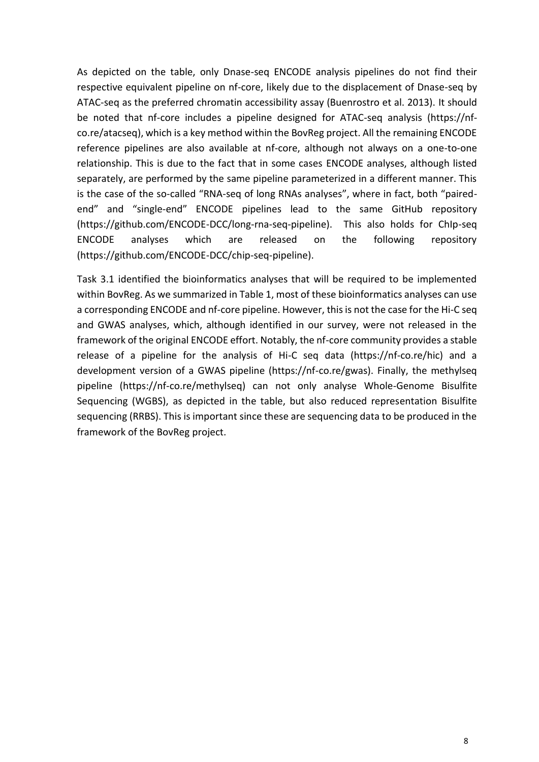As depicted on the table, only Dnase-seq ENCODE analysis pipelines do not find their respective equivalent pipeline on nf-core, likely due to the displacement of Dnase-seq by ATAC-seq as the preferred chromatin accessibility assay (Buenrostro et al. 2013). It should be noted that nf-core includes a pipeline designed for ATAC-seq analysis (https://nfco.re/atacseq), which is a key method within the BovReg project. All the remaining ENCODE reference pipelines are also available at nf-core, although not always on a one-to-one relationship. This is due to the fact that in some cases ENCODE analyses, although listed separately, are performed by the same pipeline parameterized in a different manner. This is the case of the so-called "RNA-seq of long RNAs analyses", where in fact, both "pairedend" and "single-end" ENCODE pipelines lead to the same GitHub repository (https://github.com/ENCODE-DCC/long-rna-seq-pipeline). This also holds for ChIp-seq ENCODE analyses which are released on the following repository (https://github.com/ENCODE-DCC/chip-seq-pipeline).

Task 3.1 identified the bioinformatics analyses that will be required to be implemented within BovReg. As we summarized in Table 1, most of these bioinformatics analyses can use a corresponding ENCODE and nf-core pipeline. However, this is not the case for the Hi-C seq and GWAS analyses, which, although identified in our survey, were not released in the framework of the original ENCODE effort. Notably, the nf-core community provides a stable release of a pipeline for the analysis of Hi-C seq data (https://nf-co.re/hic) and a development version of a GWAS pipeline (https://nf-co.re/gwas). Finally, the methylseq pipeline (https://nf-co.re/methylseq) can not only analyse Whole-Genome Bisulfite Sequencing (WGBS), as depicted in the table, but also reduced representation Bisulfite sequencing (RRBS). This is important since these are sequencing data to be produced in the framework of the BovReg project.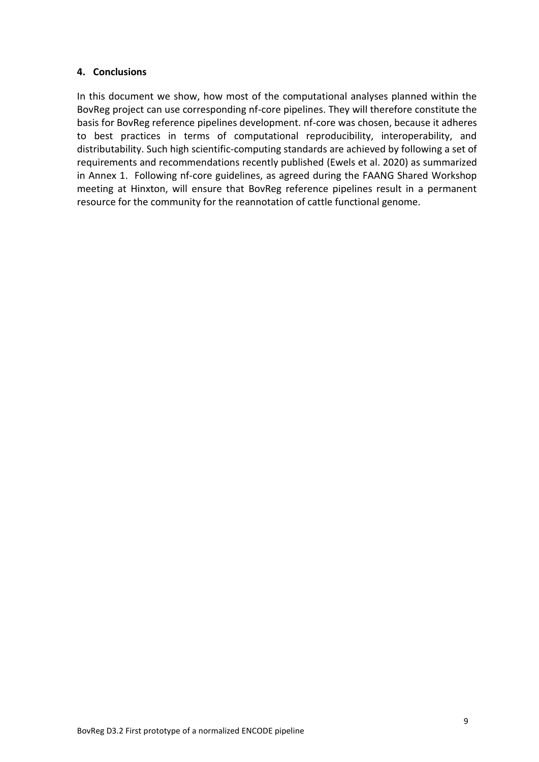# <span id="page-8-0"></span>**4. Conclusions**

In this document we show, how most of the computational analyses planned within the BovReg project can use corresponding nf-core pipelines. They will therefore constitute the basis for BovReg reference pipelines development. nf-core was chosen, because it adheres to best practices in terms of computational reproducibility, interoperability, and distributability. Such high scientific-computing standards are achieved by following a set of requirements and recommendations recently published (Ewels et al. 2020) as summarized in Annex 1. Following nf-core guidelines, as agreed during the FAANG Shared Workshop meeting at Hinxton, will ensure that BovReg reference pipelines result in a permanent resource for the community for the reannotation of cattle functional genome.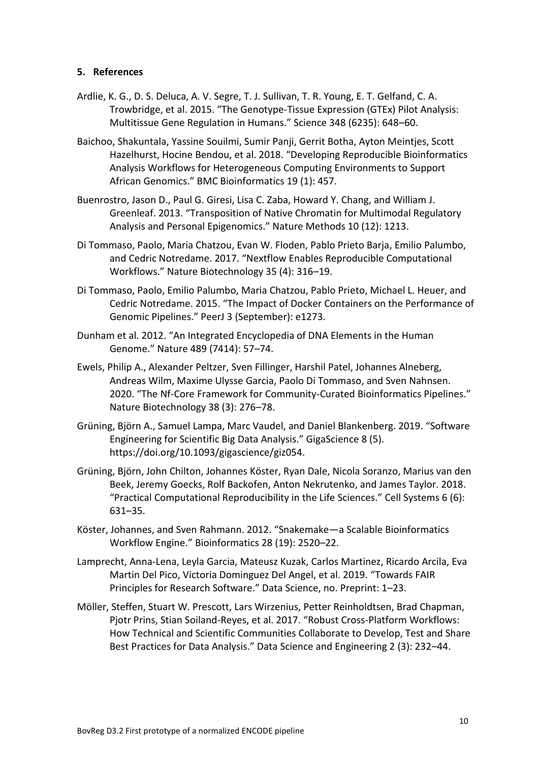## <span id="page-9-0"></span>**5. References**

- Ardlie, K. G., D. S. Deluca, A. V. Segre, T. J. Sullivan, T. R. Young, E. T. Gelfand, C. A. Trowbridge, et al. 2015. "The Genotype-Tissue Expression (GTEx) Pilot Analysis: Multitissue Gene Regulation in Humans." Science 348 (6235): 648–60.
- Baichoo, Shakuntala, Yassine Souilmi, Sumir Panji, Gerrit Botha, Ayton Meintjes, Scott Hazelhurst, Hocine Bendou, et al. 2018. "Developing Reproducible Bioinformatics Analysis Workflows for Heterogeneous Computing Environments to Support African Genomics." BMC Bioinformatics 19 (1): 457.
- Buenrostro, Jason D., Paul G. Giresi, Lisa C. Zaba, Howard Y. Chang, and William J. Greenleaf. 2013. "Transposition of Native Chromatin for Multimodal Regulatory Analysis and Personal Epigenomics." Nature Methods 10 (12): 1213.
- Di Tommaso, Paolo, Maria Chatzou, Evan W. Floden, Pablo Prieto Barja, Emilio Palumbo, and Cedric Notredame. 2017. "Nextflow Enables Reproducible Computational Workflows." Nature Biotechnology 35 (4): 316–19.
- Di Tommaso, Paolo, Emilio Palumbo, Maria Chatzou, Pablo Prieto, Michael L. Heuer, and Cedric Notredame. 2015. "The Impact of Docker Containers on the Performance of Genomic Pipelines." PeerJ 3 (September): e1273.
- Dunham et al. 2012. "An Integrated Encyclopedia of DNA Elements in the Human Genome." Nature 489 (7414): 57–74.
- Ewels, Philip A., Alexander Peltzer, Sven Fillinger, Harshil Patel, Johannes Alneberg, Andreas Wilm, Maxime Ulysse Garcia, Paolo Di Tommaso, and Sven Nahnsen. 2020. "The Nf-Core Framework for Community-Curated Bioinformatics Pipelines." Nature Biotechnology 38 (3): 276–78.
- Grüning, Björn A., Samuel Lampa, Marc Vaudel, and Daniel Blankenberg. 2019. "Software Engineering for Scientific Big Data Analysis." GigaScience 8 (5). https://doi.org/10.1093/gigascience/giz054.
- Grüning, Björn, John Chilton, Johannes Köster, Ryan Dale, Nicola Soranzo, Marius van den Beek, Jeremy Goecks, Rolf Backofen, Anton Nekrutenko, and James Taylor. 2018. "Practical Computational Reproducibility in the Life Sciences." Cell Systems 6 (6): 631–35.
- Köster, Johannes, and Sven Rahmann. 2012. "Snakemake—a Scalable Bioinformatics Workflow Engine." Bioinformatics 28 (19): 2520–22.
- Lamprecht, Anna-Lena, Leyla Garcia, Mateusz Kuzak, Carlos Martinez, Ricardo Arcila, Eva Martin Del Pico, Victoria Dominguez Del Angel, et al. 2019. "Towards FAIR Principles for Research Software." Data Science, no. Preprint: 1–23.
- Möller, Steffen, Stuart W. Prescott, Lars Wirzenius, Petter Reinholdtsen, Brad Chapman, Pjotr Prins, Stian Soiland-Reyes, et al. 2017. "Robust Cross-Platform Workflows: How Technical and Scientific Communities Collaborate to Develop, Test and Share Best Practices for Data Analysis." Data Science and Engineering 2 (3): 232–44.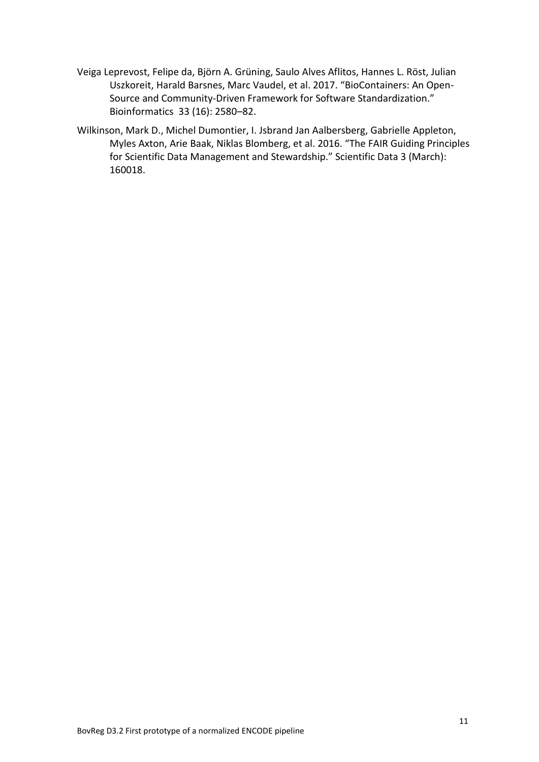- Veiga Leprevost, Felipe da, Björn A. Grüning, Saulo Alves Aflitos, Hannes L. Röst, Julian Uszkoreit, Harald Barsnes, Marc Vaudel, et al. 2017. "BioContainers: An Open-Source and Community-Driven Framework for Software Standardization." Bioinformatics 33 (16): 2580–82.
- Wilkinson, Mark D., Michel Dumontier, I. Jsbrand Jan Aalbersberg, Gabrielle Appleton, Myles Axton, Arie Baak, Niklas Blomberg, et al. 2016. "The FAIR Guiding Principles for Scientific Data Management and Stewardship." Scientific Data 3 (March): 160018.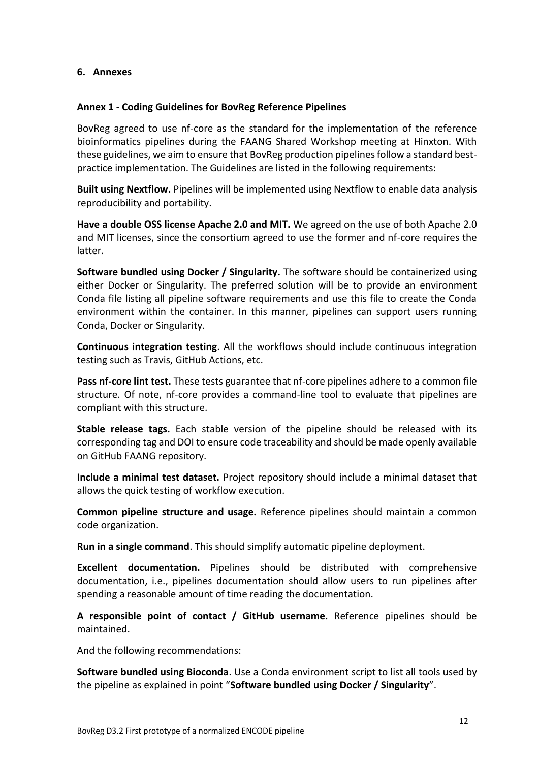## <span id="page-11-0"></span>**6. Annexes**

#### <span id="page-11-1"></span>**Annex 1 - Coding Guidelines for BovReg Reference Pipelines**

BovReg agreed to use nf-core as the standard for the implementation of the reference bioinformatics pipelines during the FAANG Shared Workshop meeting at Hinxton. With these guidelines, we aim to ensure that BovReg production pipelines follow a standard bestpractice implementation. The Guidelines are listed in the following requirements:

**Built using Nextflow.** Pipelines will be implemented using Nextflow to enable data analysis reproducibility and portability.

**Have a double OSS license Apache 2.0 and MIT.** We agreed on the use of both Apache 2.0 and MIT licenses, since the consortium agreed to use the former and nf-core requires the latter.

**Software bundled using Docker / Singularity.** The software should be containerized using either Docker or Singularity. The preferred solution will be to provide an environment Conda file listing all pipeline software requirements and use this file to create the Conda environment within the container. In this manner, pipelines can support users running Conda, Docker or Singularity.

**Continuous integration testing**. All the workflows should include continuous integration testing such as Travis, GitHub Actions, etc.

**Pass nf-core lint test.** These tests guarantee that nf-core pipelines adhere to a common file structure. Of note, nf-core provides a command-line tool to evaluate that pipelines are compliant with this structure.

**Stable release tags.** Each stable version of the pipeline should be released with its corresponding tag and DOI to ensure code traceability and should be made openly available on GitHub FAANG repository.

**Include a minimal test dataset.** Project repository should include a minimal dataset that allows the quick testing of workflow execution.

**Common pipeline structure and usage.** Reference pipelines should maintain a common code organization.

**Run in a single command**. This should simplify automatic pipeline deployment.

**Excellent documentation.** Pipelines should be distributed with comprehensive documentation, i.e., pipelines documentation should allow users to run pipelines after spending a reasonable amount of time reading the documentation.

**A responsible point of contact / GitHub username.** Reference pipelines should be maintained.

And the following recommendations:

**Software bundled using Bioconda**. Use a Conda environment script to list all tools used by the pipeline as explained in point "**Software bundled using Docker / Singularity**".